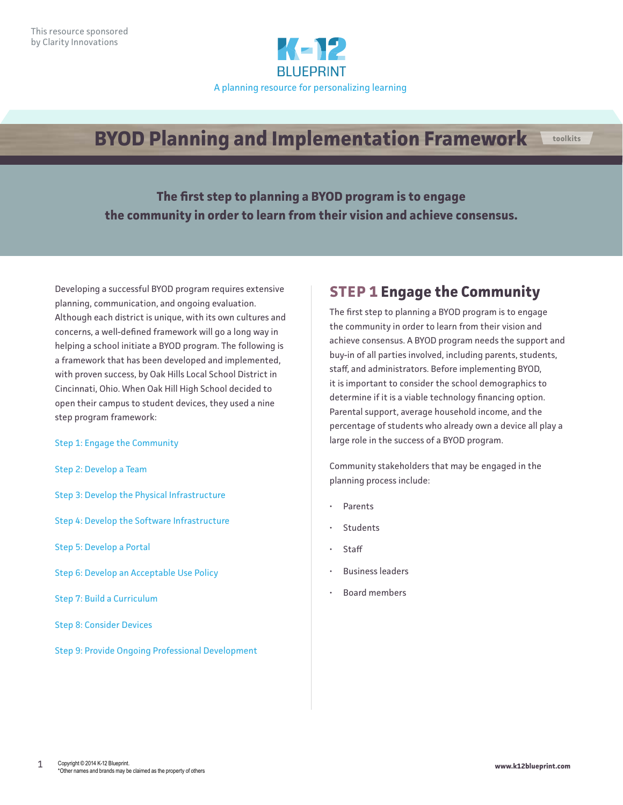

# **BYOD Planning and Implementation Framework toolkits**

**The first step to planning a BYOD program is to engage the community in order to learn from their vision and achieve consensus.**

Developing a successful BYOD program requires extensive planning, communication, and ongoing evaluation. Although each district is unique, with its own cultures and concerns, a well-defined framework will go a long way in helping a school initiate a BYOD program. The following is a framework that has been developed and implemented, with proven success, by Oak Hills Local School District in Cincinnati, Ohio. When Oak Hill High School decided to open their campus to student devices, they used a nine step program framework:

#### [Step 1: Engage the Community](#page-0-0)

- [Step 2: Develop a Team](#page-1-0)
- [Step 3: Develop the Physical Infrastructure](#page-2-0)
- [Step 4: Develop the Software Infrastructure](#page-3-0)
- [Step 5: Develop a Portal](#page-4-0)
- [Step 6: Develop an Acceptable Use Policy](#page-5-0)
- [Step 7: Build a Curriculum](#page-7-0)
- [Step 8: Consider Devices](#page-8-0)
- [Step 9: Provide Ongoing Professional Development](#page-10-0)

## <span id="page-0-0"></span>**STEP 1 Engage the Community**

The first step to planning a BYOD program is to engage the community in order to learn from their vision and achieve consensus. A BYOD program needs the support and buy-in of all parties involved, including parents, students, staff, and administrators. Before implementing BYOD, it is important to consider the school demographics to determine if it is a viable technology financing option. Parental support, average household income, and the percentage of students who already own a device all play a large role in the success of a BYOD program.

Community stakeholders that may be engaged in the planning process include:

- Parents
- **Students**
- **Staff**
- Business leaders
- Board members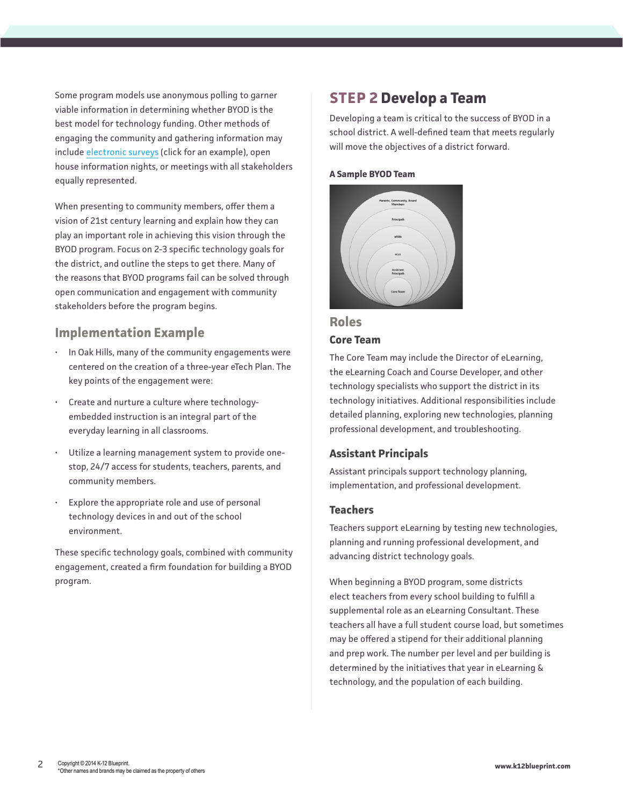Some program models use anonymous polling to garner viable information in determining whether BYOD is the best model for technology funding. Other methods of engaging the community and gathering information may include [electronic surveys](http://www.surveymonkey.com/s/RS879DG) (click for an example), open house information nights, or meetings with all stakeholders equally represented.

When presenting to community members, offer them a vision of 21st century learning and explain how they can play an important role in achieving this vision through the BYOD program. Focus on 2-3 specific technology goals for the district, and outline the steps to get there. Many of the reasons that BYOD programs fail can be solved through open communication and engagement with community stakeholders before the program begins.

### **Implementation Example**

- In Oak Hills, many of the community engagements were centered on the creation of a three-year eTech Plan. The key points of the engagement were:
- Create and nurture a culture where technologyembedded instruction is an integral part of the everyday learning in all classrooms.
- Utilize a learning management system to provide onestop, 24/7 access for students, teachers, parents, and community members.
- Explore the appropriate role and use of personal technology devices in and out of the school environment.

These specific technology goals, combined with community engagement, created a firm foundation for building a BYOD program.

## <span id="page-1-0"></span>**STEP 2 Develop a Team**

Developing a team is critical to the success of BYOD in a school district. A well-defined team that meets regularly will move the objectives of a district forward.

### **A Sample BYOD Team**



### **Roles**

### **Core Team**

The Core Team may include the Director of eLearning, the eLearning Coach and Course Developer, and other technology specialists who support the district in its technology initiatives. Additional responsibilities include detailed planning, exploring new technologies, planning professional development, and troubleshooting.

### **Assistant Principals**

Assistant principals support technology planning, implementation, and professional development.

### **Teachers**

Teachers support eLearning by testing new technologies, planning and running professional development, and advancing district technology goals.

When beginning a BYOD program, some districts elect teachers from every school building to fulfill a supplemental role as an eLearning Consultant. These teachers all have a full student course load, but sometimes may be offered a stipend for their additional planning and prep work. The number per level and per building is determined by the initiatives that year in eLearning & technology, and the population of each building.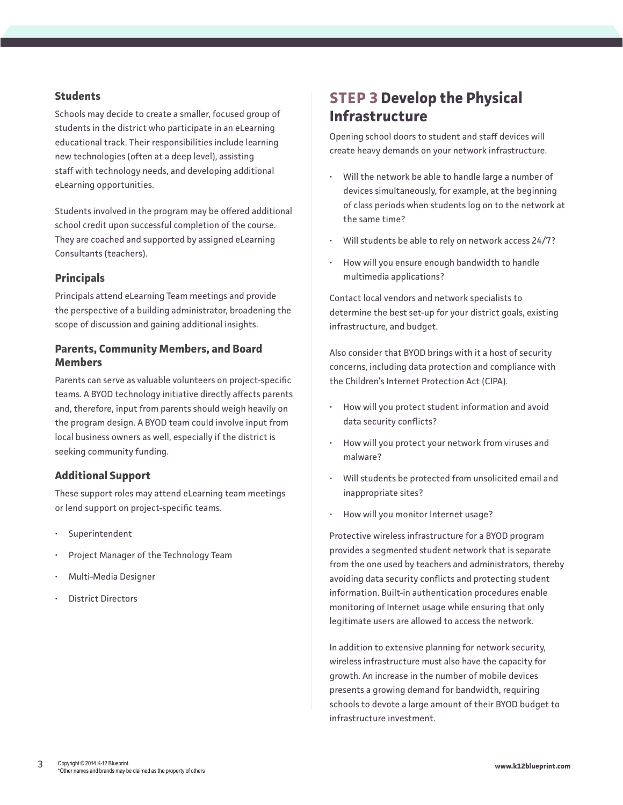### **Students**

Schools may decide to create a smaller, focused group of students in the district who participate in an eLearning educational track. Their responsibilities include learning new technologies (often at a deep level), assisting staff with technology needs, and developing additional eLearning opportunities.

Students involved in the program may be offered additional school credit upon successful completion of the course. They are coached and supported by assigned eLearning Consultants (teachers).

### **Principals**

Principals attend eLearning Team meetings and provide the perspective of a building administrator, broadening the scope of discussion and gaining additional insights.

### **Parents, Community Members, and Board Members**

Parents can serve as valuable volunteers on project-specific teams. A BYOD technology initiative directly affects parents and, therefore, input from parents should weigh heavily on the program design. A BYOD team could involve input from local business owners as well, especially if the district is seeking community funding.

### **Additional Support**

These support roles may attend eLearning team meetings or lend support on project-specific teams.

- Superintendent
- Project Manager of the Technology Team
- Multi-Media Designer
- District Directors

## <span id="page-2-0"></span>**STEP 3 Develop the Physical Infrastructure**

Opening school doors to student and staff devices will create heavy demands on your network infrastructure.

- Will the network be able to handle large a number of devices simultaneously, for example, at the beginning of class periods when students log on to the network at the same time?
- Will students be able to rely on network access 24/7?
- How will you ensure enough bandwidth to handle multimedia applications?

Contact local vendors and network specialists to determine the best set-up for your district goals, existing infrastructure, and budget.

Also consider that BYOD brings with it a host of security concerns, including data protection and compliance with the Children's Internet Protection Act (CIPA).

- How will you protect student information and avoid data security conflicts?
- How will you protect your network from viruses and malware?
- Will students be protected from unsolicited email and inappropriate sites?
- How will you monitor Internet usage?

Protective wireless infrastructure for a BYOD program provides a segmented student network that is separate from the one used by teachers and administrators, thereby avoiding data security conflicts and protecting student information. Built-in authentication procedures enable monitoring of Internet usage while ensuring that only legitimate users are allowed to access the network.

In addition to extensive planning for network security, wireless infrastructure must also have the capacity for growth. An increase in the number of mobile devices presents a growing demand for bandwidth, requiring schools to devote a large amount of their BYOD budget to infrastructure investment.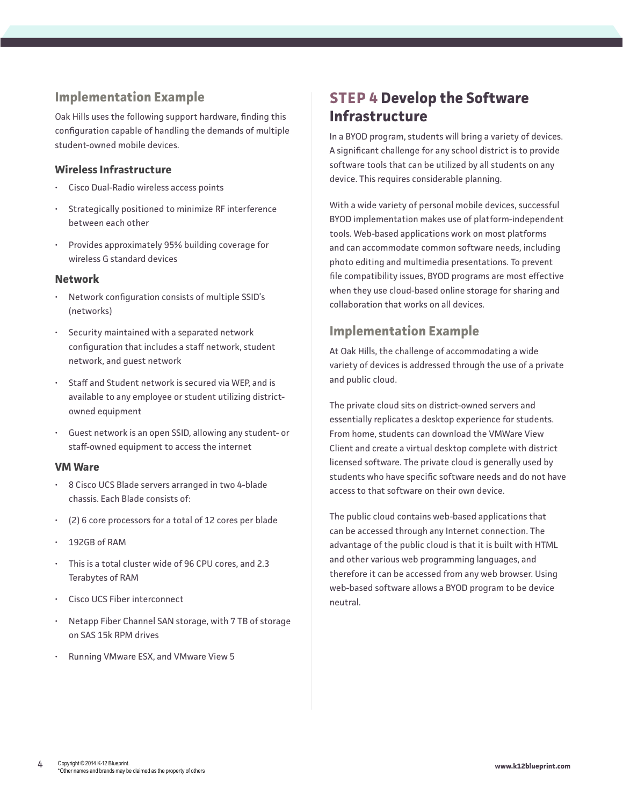### **Implementation Example**

Oak Hills uses the following support hardware, finding this configuration capable of handling the demands of multiple student-owned mobile devices.

### **Wireless Infrastructure**

- Cisco Dual-Radio wireless access points
- Strategically positioned to minimize RF interference between each other
- Provides approximately 95% building coverage for wireless G standard devices

### **Network**

- Network configuration consists of multiple SSID's (networks)
- Security maintained with a separated network configuration that includes a staff network, student network, and guest network
- Staff and Student network is secured via WEP, and is available to any employee or student utilizing districtowned equipment
- Guest network is an open SSID, allowing any student- or staff-owned equipment to access the internet

### **VM Ware**

- 8 Cisco UCS Blade servers arranged in two 4-blade chassis. Each Blade consists of:
- (2) 6 core processors for a total of 12 cores per blade
- 192GB of RAM
- This is a total cluster wide of 96 CPU cores, and 2.3 Terabytes of RAM
- Cisco UCS Fiber interconnect
- Netapp Fiber Channel SAN storage, with 7 TB of storage on SAS 15k RPM drives
- Running VMware ESX, and VMware View 5

## <span id="page-3-0"></span>**STEP 4 Develop the Software Infrastructure**

In a BYOD program, students will bring a variety of devices. A significant challenge for any school district is to provide software tools that can be utilized by all students on any device. This requires considerable planning.

With a wide variety of personal mobile devices, successful BYOD implementation makes use of platform-independent tools. Web-based applications work on most platforms and can accommodate common software needs, including photo editing and multimedia presentations. To prevent file compatibility issues, BYOD programs are most effective when they use cloud-based online storage for sharing and collaboration that works on all devices.

### **Implementation Example**

At Oak Hills, the challenge of accommodating a wide variety of devices is addressed through the use of a private and public cloud.

The private cloud sits on district-owned servers and essentially replicates a desktop experience for students. From home, students can download the VMWare View Client and create a virtual desktop complete with district licensed software. The private cloud is generally used by students who have specific software needs and do not have access to that software on their own device.

The public cloud contains web-based applications that can be accessed through any Internet connection. The advantage of the public cloud is that it is built with HTML and other various web programming languages, and therefore it can be accessed from any web browser. Using web-based software allows a BYOD program to be device neutral.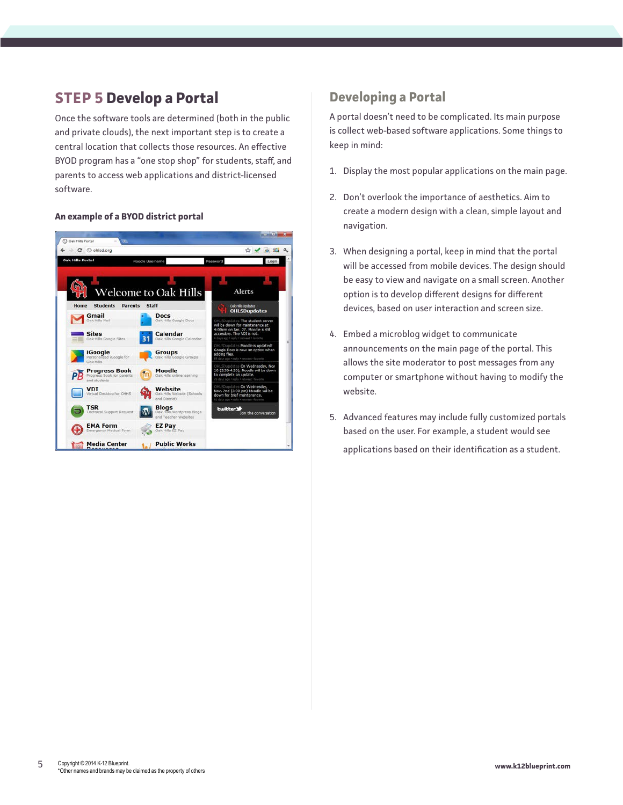## <span id="page-4-0"></span>**STEP 5 Develop a Portal**

Once the software tools are determined (both in the public and private clouds), the next important step is to create a central location that collects those resources. An effective BYOD program has a "one stop shop" for students, staff, and parents to access web applications and district-licensed software.

#### **An example of a BYOD district portal**



### **Developing a Portal**

A portal doesn't need to be complicated. Its main purpose is collect web-based software applications. Some things to keep in mind:

- 1. Display the most popular applications on the main page.
- 2. Don't overlook the importance of aesthetics. Aim to create a modern design with a clean, simple layout and navigation.
- 3. When designing a portal, keep in mind that the portal will be accessed from mobile devices. The design should be easy to view and navigate on a small screen. Another option is to develop different designs for different devices, based on user interaction and screen size.
- 4. Embed a microblog widget to communicate announcements on the main page of the portal. This allows the site moderator to post messages from any computer or smartphone without having to modify the website.
- 5. Advanced features may include fully customized portals based on the user. For example, a student would see applications based on their identification as a student.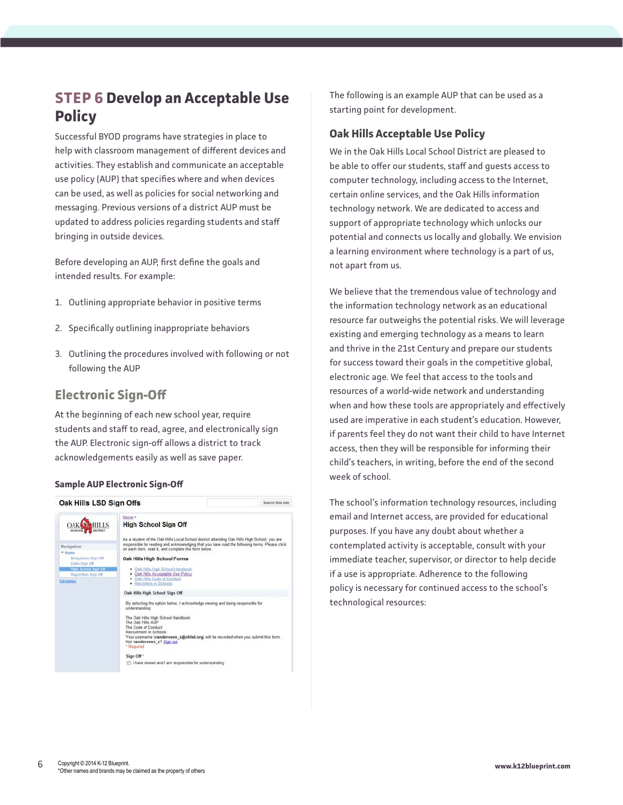## <span id="page-5-0"></span>**STEP 6 Develop an Acceptable Use Policy**

Successful BYOD programs have strategies in place to help with classroom management of different devices and activities. They establish and communicate an acceptable use policy (AUP) that specifies where and when devices can be used, as well as policies for social networking and messaging. Previous versions of a district AUP must be updated to address policies regarding students and staff bringing in outside devices.

Before developing an AUP, first define the goals and intended results. For example:

- 1. Outlining appropriate behavior in positive terms
- 2. Specifically outlining inappropriate behaviors
- 3. Outlining the procedures involved with following or not following the AUP

### **Electronic Sign-Off**

At the beginning of each new school year, require students and staff to read, agree, and electronically sign the AUP. Electronic sign-off allows a district to track acknowledgements easily as well as save paper.

### **Sample AUP Electronic Sign-Off**



The following is an example AUP that can be used as a starting point for development.

### **Oak Hills Acceptable Use Policy**

We in the Oak Hills Local School District are pleased to be able to offer our students, staff and guests access to computer technology, including access to the Internet, certain online services, and the Oak Hills information technology network. We are dedicated to access and support of appropriate technology which unlocks our potential and connects us locally and globally. We envision a learning environment where technology is a part of us, not apart from us.

We believe that the tremendous value of technology and the information technology network as an educational resource far outweighs the potential risks. We will leverage existing and emerging technology as a means to learn and thrive in the 21st Century and prepare our students for success toward their goals in the competitive global, electronic age. We feel that access to the tools and resources of a world-wide network and understanding when and how these tools are appropriately and effectively used are imperative in each student's education. However, if parents feel they do not want their child to have Internet access, then they will be responsible for informing their child's teachers, in writing, before the end of the second week of school.

The school's information technology resources, including email and Internet access, are provided for educational purposes. If you have any doubt about whether a contemplated activity is acceptable, consult with your immediate teacher, supervisor, or director to help decide if a use is appropriate. Adherence to the following policy is necessary for continued access to the school's technological resources: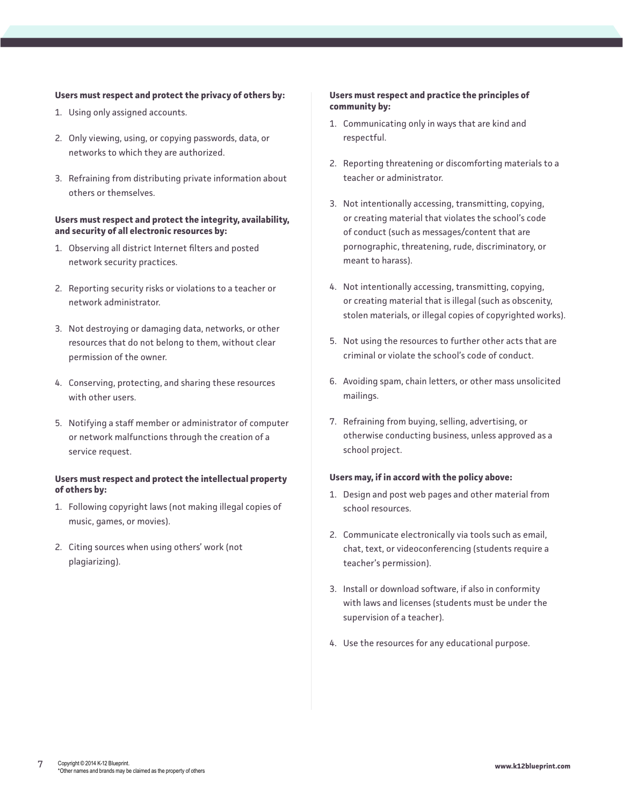#### **Users must respect and protect the privacy of others by:**

- 1. Using only assigned accounts.
- 2. Only viewing, using, or copying passwords, data, or networks to which they are authorized.
- 3. Refraining from distributing private information about others or themselves.

#### **Users must respect and protect the integrity, availability, and security of all electronic resources by:**

- 1. Observing all district Internet filters and posted network security practices.
- 2. Reporting security risks or violations to a teacher or network administrator.
- 3. Not destroying or damaging data, networks, or other resources that do not belong to them, without clear permission of the owner.
- 4. Conserving, protecting, and sharing these resources with other users.
- 5. Notifying a staff member or administrator of computer or network malfunctions through the creation of a service request.

#### **Users must respect and protect the intellectual property of others by:**

- 1. Following copyright laws (not making illegal copies of music, games, or movies).
- 2. Citing sources when using others' work (not plagiarizing).

### **Users must respect and practice the principles of community by:**

- 1. Communicating only in ways that are kind and respectful.
- 2. Reporting threatening or discomforting materials to a teacher or administrator.
- 3. Not intentionally accessing, transmitting, copying, or creating material that violates the school's code of conduct (such as messages/content that are pornographic, threatening, rude, discriminatory, or meant to harass).
- 4. Not intentionally accessing, transmitting, copying, or creating material that is illegal (such as obscenity, stolen materials, or illegal copies of copyrighted works).
- 5. Not using the resources to further other acts that are criminal or violate the school's code of conduct.
- 6. Avoiding spam, chain letters, or other mass unsolicited mailings.
- 7. Refraining from buying, selling, advertising, or otherwise conducting business, unless approved as a school project.

#### **Users may, if in accord with the policy above:**

- 1. Design and post web pages and other material from school resources.
- 2. Communicate electronically via tools such as email, chat, text, or videoconferencing (students require a teacher's permission).
- 3. Install or download software, if also in conformity with laws and licenses (students must be under the supervision of a teacher).
- 4. Use the resources for any educational purpose.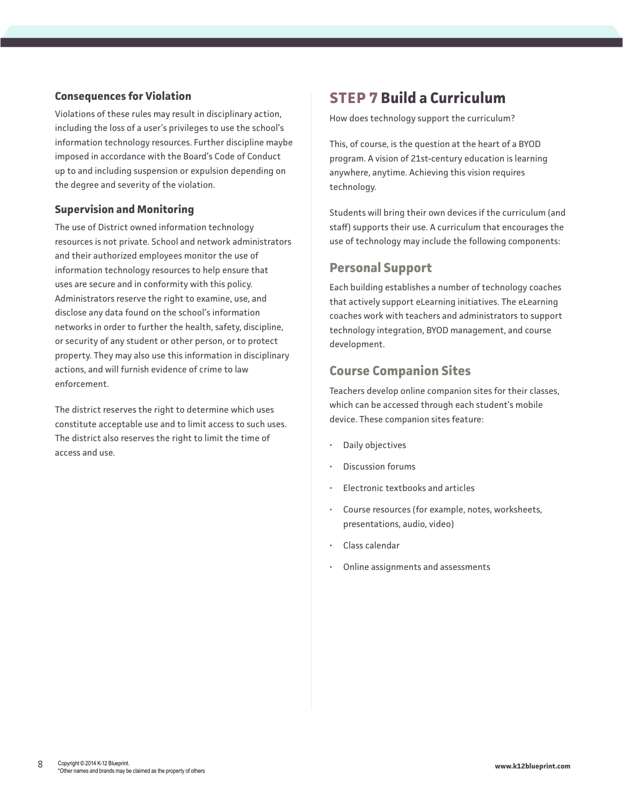### **Consequences for Violation**

Violations of these rules may result in disciplinary action, including the loss of a user's privileges to use the school's information technology resources. Further discipline maybe imposed in accordance with the Board's Code of Conduct up to and including suspension or expulsion depending on the degree and severity of the violation.

### **Supervision and Monitoring**

The use of District owned information technology resources is not private. School and network administrators and their authorized employees monitor the use of information technology resources to help ensure that uses are secure and in conformity with this policy. Administrators reserve the right to examine, use, and disclose any data found on the school's information networks in order to further the health, safety, discipline, or security of any student or other person, or to protect property. They may also use this information in disciplinary actions, and will furnish evidence of crime to law enforcement.

The district reserves the right to determine which uses constitute acceptable use and to limit access to such uses. The district also reserves the right to limit the time of access and use.

## <span id="page-7-0"></span>**STEP 7 Build a Curriculum**

How does technology support the curriculum?

This, of course, is the question at the heart of a BYOD program. A vision of 21st-century education is learning anywhere, anytime. Achieving this vision requires technology.

Students will bring their own devices if the curriculum (and staff) supports their use. A curriculum that encourages the use of technology may include the following components:

### **Personal Support**

Each building establishes a number of technology coaches that actively support eLearning initiatives. The eLearning coaches work with teachers and administrators to support technology integration, BYOD management, and course development.

### **Course Companion Sites**

Teachers develop online companion sites for their classes, which can be accessed through each student's mobile device. These companion sites feature:

- Daily objectives
- Discussion forums
- Electronic textbooks and articles
- Course resources (for example, notes, worksheets, presentations, audio, video)
- Class calendar
- Online assignments and assessments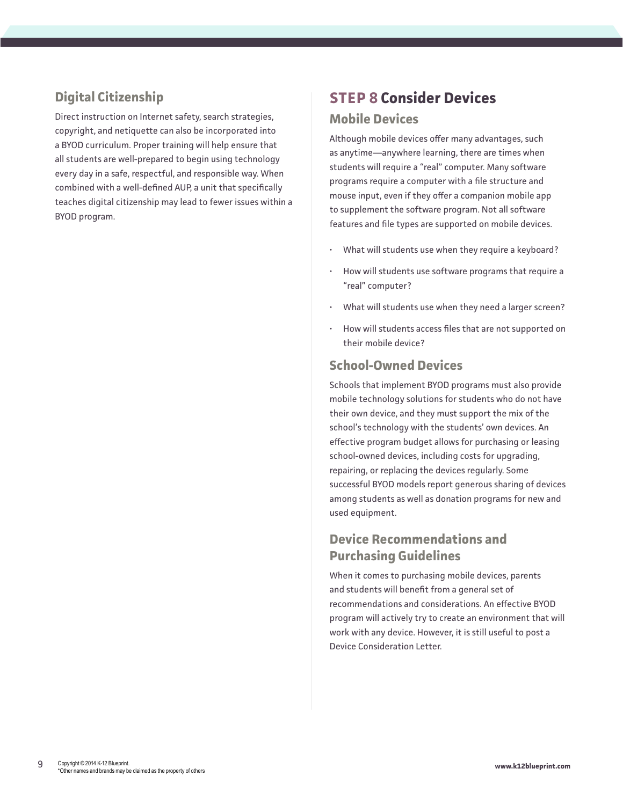## **Digital Citizenship**

Direct instruction on Internet safety, search strategies, copyright, and netiquette can also be incorporated into a BYOD curriculum. Proper training will help ensure that all students are well-prepared to begin using technology every day in a safe, respectful, and responsible way. When combined with a well-defined AUP, a unit that specifically teaches digital citizenship may lead to fewer issues within a BYOD program.

## <span id="page-8-0"></span>**STEP 8 Consider Devices Mobile Devices**

Although mobile devices offer many advantages, such as anytime—anywhere learning, there are times when students will require a "real" computer. Many software programs require a computer with a file structure and mouse input, even if they offer a companion mobile app to supplement the software program. Not all software features and file types are supported on mobile devices.

- What will students use when they require a keyboard?
- How will students use software programs that require a "real" computer?
- What will students use when they need a larger screen?
- How will students access files that are not supported on their mobile device?

### **School-Owned Devices**

Schools that implement BYOD programs must also provide mobile technology solutions for students who do not have their own device, and they must support the mix of the school's technology with the students' own devices. An effective program budget allows for purchasing or leasing school-owned devices, including costs for upgrading, repairing, or replacing the devices regularly. Some successful BYOD models report generous sharing of devices among students as well as donation programs for new and used equipment.

### **Device Recommendations and Purchasing Guidelines**

When it comes to purchasing mobile devices, parents and students will benefit from a general set of recommendations and considerations. An effective BYOD program will actively try to create an environment that will work with any device. However, it is still useful to post a Device Consideration Letter.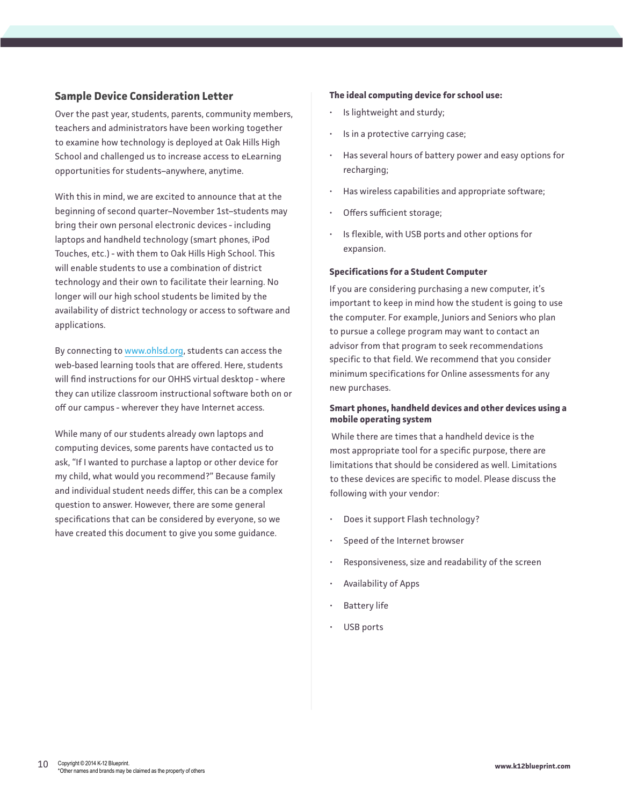### **Sample Device Consideration Letter**

Over the past year, students, parents, community members, teachers and administrators have been working together to examine how technology is deployed at Oak Hills High School and challenged us to increase access to eLearning opportunities for students–anywhere, anytime.

With this in mind, we are excited to announce that at the beginning of second quarter–November 1st–students may bring their own personal electronic devices - including laptops and handheld technology (smart phones, iPod Touches, etc.) - with them to Oak Hills High School. This will enable students to use a combination of district technology and their own to facilitate their learning. No longer will our high school students be limited by the availability of district technology or access to software and applications.

By connecting to [www.ohlsd.org](http://www.ohlsd.org/), students can access the web-based learning tools that are offered. Here, students will find instructions for our OHHS virtual desktop - where they can utilize classroom instructional software both on or off our campus - wherever they have Internet access.

While many of our students already own laptops and computing devices, some parents have contacted us to ask, "If I wanted to purchase a laptop or other device for my child, what would you recommend?" Because family and individual student needs differ, this can be a complex question to answer. However, there are some general specifications that can be considered by everyone, so we have created this document to give you some guidance.

#### **The ideal computing device for school use:**

- Is lightweight and sturdy;
- Is in a protective carrying case;
- Has several hours of battery power and easy options for recharging;
- Has wireless capabilities and appropriate software;
- Offers sufficient storage;
- Is flexible, with USB ports and other options for expansion.

#### **Specifications for a Student Computer**

If you are considering purchasing a new computer, it's important to keep in mind how the student is going to use the computer. For example, Juniors and Seniors who plan to pursue a college program may want to contact an advisor from that program to seek recommendations specific to that field. We recommend that you consider minimum specifications for Online assessments for any new purchases.

#### **Smart phones, handheld devices and other devices using a mobile operating system**

While there are times that a handheld device is the most appropriate tool for a specific purpose, there are limitations that should be considered as well. Limitations to these devices are specific to model. Please discuss the following with your vendor:

- Does it support Flash technology?
- Speed of the Internet browser
- Responsiveness, size and readability of the screen
- Availability of Apps
- **Battery life**
- USB ports